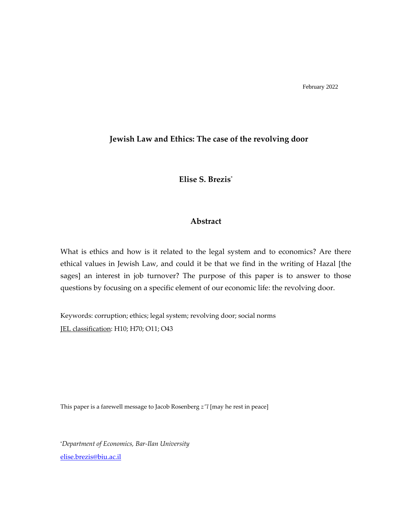# **Jewish Law and Ethics: The case of the revolving door**

**Elise S. Brezis**\*

# **Abstract**

What is ethics and how is it related to the legal system and to economics? Are there ethical values in Jewish Law, and could it be that we find in the writing of Hazal [the sages] an interest in job turnover? The purpose of this paper is to answer to those questions by focusing on a specific element of our economic life: the revolving door.

Keywords: corruption; ethics; legal system; revolving door; social norms JEL classification: H10; H70; O11; O43

This paper is a farewell message to Jacob Rosenberg *z"l* [may he rest in peace]

\**Department of Economics, Bar-Ilan University* [elise.brezis@biu.ac.il](mailto:elise.brezis@biu.ac.il)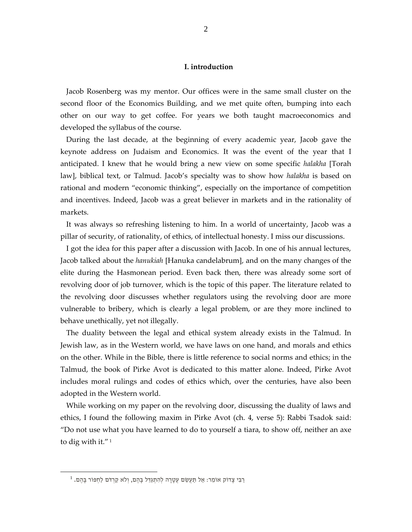# **I. introduction**

Jacob Rosenberg was my mentor. Our offices were in the same small cluster on the second floor of the Economics Building, and we met quite often, bumping into each other on our way to get coffee. For years we both taught macroeconomics and developed the syllabus of the course.

During the last decade, at the beginning of every academic year, Jacob gave the keynote address on Judaism and Economics. It was the event of the year that I anticipated. I knew that he would bring a new view on some specific *halakha* [Torah law], biblical text, or Talmud. Jacob's specialty was to show how *halakha* is based on rational and modern "economic thinking", especially on the importance of competition and incentives. Indeed, Jacob was a great believer in markets and in the rationality of markets.

It was always so refreshing listening to him. In a world of uncertainty, Jacob was a pillar of security, of rationality, of ethics, of intellectual honesty. I miss our discussions.

I got the idea for this paper after a discussion with Jacob. In one of his annual lectures, Jacob talked about the *hanukiah* [Hanuka candelabrum], and on the many changes of the elite during the Hasmonean period. Even back then, there was already some sort of revolving door of job turnover, which is the topic of this paper. The literature related to the revolving door discusses whether regulators using the revolving door are more vulnerable to bribery, which is clearly a legal problem, or are they more inclined to behave unethically, yet not illegally.

The duality between the legal and ethical system already exists in the Talmud. In Jewish law, as in the Western world, we have laws on one hand, and morals and ethics on the other. While in the Bible, there is little reference to social norms and ethics; in the Talmud, the book of Pirke Avot is dedicated to this matter alone. Indeed, Pirke Avot includes moral rulings and codes of ethics which, over the centuries, have also been adopted in the Western world.

While working on my paper on the revolving door, discussing the duality of laws and ethics, I found the following maxim in Pirke Avot (ch. 4, verse 5): Rabbi Tsadok said: "Do not use what you have learned to do to yourself a tiara, to show off, neither an axe to dig with it." 1

 $^1$  בִּבִּי צָדוֹק אוֹמֵר: אַל תַּעֲשֵׂם עֲטָרָה לְהִתְגַּדֵּל בָּהֶם, וְלֹא קַרְדֹּם לַחְפּוֹר בָּהֶם.  $\,$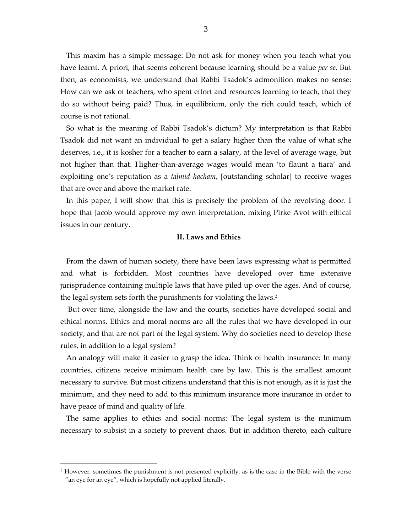This maxim has a simple message: Do not ask for money when you teach what you have learnt. A priori, that seems coherent because learning should be a value *per se*. But then, as economists, we understand that Rabbi Tsadok's admonition makes no sense: How can we ask of teachers, who spent effort and resources learning to teach, that they do so without being paid? Thus, in equilibrium, only the rich could teach, which of course is not rational.

So what is the meaning of Rabbi Tsadok's dictum? My interpretation is that Rabbi Tsadok did not want an individual to get a salary higher than the value of what s/he deserves, i.e., it is kosher for a teacher to earn a salary, at the level of average wage, but not higher than that. Higher-than-average wages would mean 'to flaunt a tiara' and exploiting one's reputation as a *talmid hacham*, [outstanding scholar] to receive wages that are over and above the market rate.

In this paper, I will show that this is precisely the problem of the revolving door. I hope that Jacob would approve my own interpretation, mixing Pirke Avot with ethical issues in our century.

# **II. Laws and Ethics**

From the dawn of human society, there have been laws expressing what is permitted and what is forbidden. Most countries have developed over time extensive jurisprudence containing multiple laws that have piled up over the ages. And of course, the legal system sets forth the punishments for violating the laws.<sup>2</sup>

But over time, alongside the law and the courts, societies have developed social and ethical norms. Ethics and moral norms are all the rules that we have developed in our society, and that are not part of the legal system. Why do societies need to develop these rules, in addition to a legal system?

An analogy will make it easier to grasp the idea. Think of health insurance: In many countries, citizens receive minimum health care by law. This is the smallest amount necessary to survive. But most citizens understand that this is not enough, as it is just the minimum, and they need to add to this minimum insurance more insurance in order to have peace of mind and quality of life.

The same applies to ethics and social norms: The legal system is the minimum necessary to subsist in a society to prevent chaos. But in addition thereto, each culture

 $2$  However, sometimes the punishment is not presented explicitly, as is the case in the Bible with the verse "an eye for an eye", which is hopefully not applied literally.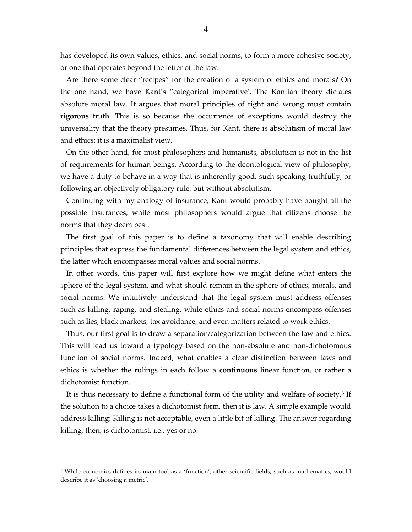has developed its own values, ethics, and social norms, to form a more cohesive society, or one that operates beyond the letter of the law.

Are there some clear "recipes" for the creation of a system of ethics and morals? On the one hand, we have Kant's "categorical imperative'. The Kantian theory dictates absolute moral law. It argues that moral principles of right and wrong must contain **rigorous** truth. This is so because the occurrence of exceptions would destroy the universality that the theory presumes. Thus, for Kant, there is absolutism of moral law and ethics; it is a maximalist view.

On the other hand, for most philosophers and humanists, absolutism is not in the list of requirements for human beings. According to the deontological view of philosophy, we have a duty to behave in a way that is inherently good, such speaking truthfully, or following an objectively obligatory rule, but without absolutism.

Continuing with my analogy of insurance, Kant would probably have bought all the possible insurances, while most philosophers would argue that citizens choose the norms that they deem best.

The first goal of this paper is to define a taxonomy that will enable describing principles that express the fundamental differences between the legal system and ethics, the latter which encompasses moral values and social norms.

In other words, this paper will first explore how we might define what enters the sphere of the legal system, and what should remain in the sphere of ethics, morals, and social norms. We intuitively understand that the legal system must address offenses such as killing, raping, and stealing, while ethics and social norms encompass offenses such as lies, black markets, tax avoidance, and even matters related to work ethics.

Thus, our first goal is to draw a separation/categorization between the law and ethics. This will lead us toward a typology based on the non-absolute and non-dichotomous function of social norms. Indeed, what enables a clear distinction between laws and ethics is whether the rulings in each follow a **continuous** linear function, or rather a dichotomist function.

It is thus necessary to define a functional form of the utility and welfare of society.<sup>3</sup> If the solution to a choice takes a dichotomist form, then it is law. A simple example would address killing: Killing is not acceptable, even a little bit of killing. The answer regarding killing, then, is dichotomist, i.e., yes or no.

<sup>&</sup>lt;sup>3</sup> While economics defines its main tool as a 'function', other scientific fields, such as mathematics, would describe it as 'choosing a metric'.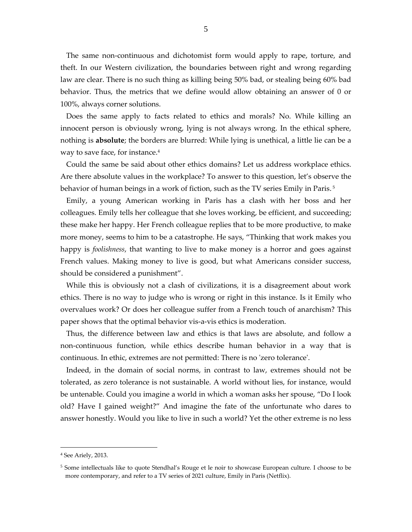The same non-continuous and dichotomist form would apply to rape, torture, and theft. In our Western civilization, the boundaries between right and wrong regarding law are clear. There is no such thing as killing being 50% bad, or stealing being 60% bad behavior. Thus, the metrics that we define would allow obtaining an answer of 0 or 100%, always corner solutions.

Does the same apply to facts related to ethics and morals? No. While killing an innocent person is obviously wrong, lying is not always wrong. In the ethical sphere, nothing is **absolute**; the borders are blurred: While lying is unethical, a little lie can be a way to save face, for instance.<sup>4</sup>

Could the same be said about other ethics domains? Let us address workplace ethics. Are there absolute values in the workplace? To answer to this question, let's observe the behavior of human beings in a work of fiction, such as the TV series Emily in Paris. 5

Emily, a young American working in Paris has a clash with her boss and her colleagues. Emily tells her colleague that she loves working, be efficient, and succeeding; these make her happy. Her French colleague replies that to be more productive, to make more money, seems to him to be a catastrophe. He says, "Thinking that work makes you happy is *foolishness*, that wanting to live to make money is a horror and goes against French values. Making money to live is good, but what Americans consider success, should be considered a punishment".

While this is obviously not a clash of civilizations, it is a disagreement about work ethics. There is no way to judge who is wrong or right in this instance. Is it Emily who overvalues work? Or does her colleague suffer from a French touch of anarchism? This paper shows that the optimal behavior vis-a-vis ethics is moderation.

Thus, the difference between law and ethics is that laws are absolute, and follow a non-continuous function, while ethics describe human behavior in a way that is continuous. In ethic, extremes are not permitted: There is no 'zero tolerance'.

Indeed, in the domain of social norms, in contrast to law, extremes should not be tolerated, as zero tolerance is not sustainable. A world without lies, for instance, would be untenable. Could you imagine a world in which a woman asks her spouse, "Do I look old? Have I gained weight?" And imagine the fate of the unfortunate who dares to answer honestly. Would you like to live in such a world? Yet the other extreme is no less

<sup>4</sup> See Ariely, 2013.

<sup>5</sup> Some intellectuals like to quote Stendhal's Rouge et le noir to showcase European culture. I choose to be more contemporary, and refer to a TV series of 2021 culture, Emily in Paris (Netflix).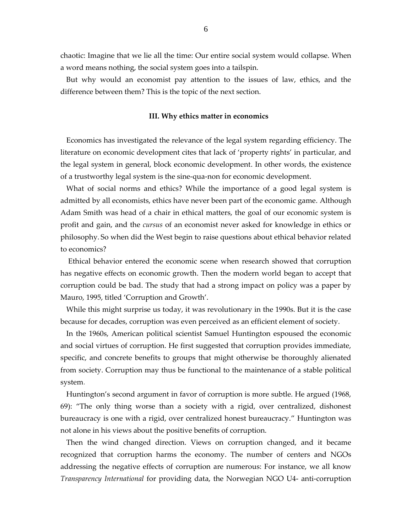chaotic: Imagine that we lie all the time: Our entire social system would collapse. When a word means nothing, the social system goes into a tailspin.

But why would an economist pay attention to the issues of law, ethics, and the difference between them? This is the topic of the next section.

#### **III. Why ethics matter in economics**

Economics has investigated the relevance of the legal system regarding efficiency. The literature on economic development cites that lack of 'property rights' in particular, and the legal system in general, block economic development. In other words, the existence of a trustworthy legal system is the sine-qua-non for economic development.

What of social norms and ethics? While the importance of a good legal system is admitted by all economists, ethics have never been part of the economic game. Although Adam Smith was head of a chair in ethical matters, the goal of our economic system is profit and gain, and the *cursus* of an economist never asked for knowledge in ethics or philosophy. So when did the West begin to raise questions about ethical behavior related to economics?

Ethical behavior entered the economic scene when research showed that corruption has negative effects on economic growth. Then the modern world began to accept that corruption could be bad. The study that had a strong impact on policy was a paper by Mauro, 1995, titled 'Corruption and Growth'.

While this might surprise us today, it was revolutionary in the 1990s. But it is the case because for decades, corruption was even perceived as an efficient element of society.

In the 1960s, American political scientist Samuel Huntington espoused the economic and social virtues of corruption. He first suggested that corruption provides immediate, specific, and concrete benefits to groups that might otherwise be thoroughly alienated from society. Corruption may thus be functional to the maintenance of a stable political system .

Huntington's second argument in favor of corruption is more subtle. He argued (1968, 69): "The only thing worse than a society with a rigid, over centralized, dishonest bureaucracy is one with a rigid, over centralized honest bureaucracy." Huntington was not alone in his views about the positive benefits of corruption.

Then the wind changed direction. Views on corruption changed, and it became recognized that corruption harms the economy. The number of centers and NGOs addressing the negative effects of corruption are numerous: For instance, we all know *Transparency International* for providing data, the Norwegian NGO U4- anti-corruption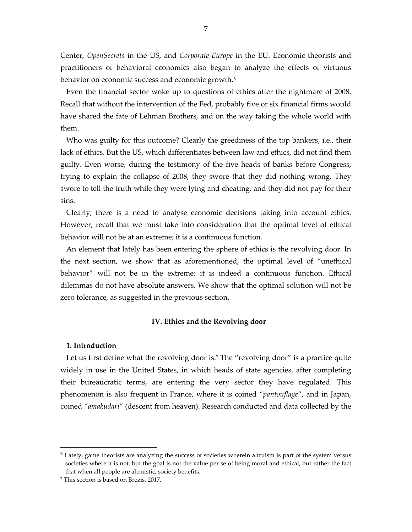Center, *OpenSecrets* in the US, and *Corporate-Europe* in the EU. Economic theorists and practitioners of behavioral economics also began to analyze the effects of virtuous behavior on economic success and economic growth.<sup>6</sup>

Even the financial sector woke up to questions of ethics after the nightmare of 2008. Recall that without the intervention of the Fed, probably five or six financial firms would have shared the fate of Lehman Brothers, and on the way taking the whole world with them.

Who was guilty for this outcome? Clearly the greediness of the top bankers, i.e., their lack of ethics. But the US, which differentiates between law and ethics, did not find them guilty. Even worse, during the testimony of the five heads of banks before Congress, trying to explain the collapse of 2008, they swore that they did nothing wrong. They swore to tell the truth while they were lying and cheating, and they did not pay for their sins.

Clearly, there is a need to analyse economic decisions taking into account ethics. However, recall that we must take into consideration that the optimal level of ethical behavior will not be at an extreme; it is a continuous function.

An element that lately has been entering the sphere of ethics is the revolving door. In the next section, we show that as aforementioned, the optimal level of "unethical behavior" will not be in the extreme; it is indeed a continuous function. Ethical dilemmas do not have absolute answers. We show that the optimal solution will not be zero tolerance, as suggested in the previous section.

## **IV. Ethics and the Revolving door**

## **1. Introduction**

Let us first define what the revolving door is.<sup>7</sup> The "revolving door" is a practice quite widely in use in the United States, in which heads of state agencies, after completing their bureaucratic terms, are entering the very sector they have regulated. This phenomenon is also frequent in France, where it is coined "*pantouflage*", and in Japan, coined "*amakudari*" (descent from heaven). Research conducted and data collected by the

<sup>6</sup> Lately, game theorists are analyzing the success of societies wherein altruism is part of the system versus societies where it is not, but the goal is not the value per se of being moral and ethical, but rather the fact that when all people are altruistic, society benefits.

<sup>7</sup> This section is based on Brezis, 2017.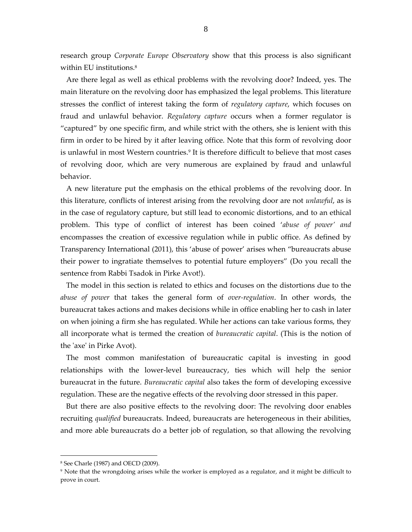research group *Corporate Europe Observatory* show that this process is also significant within EU institutions.<sup>8</sup>

Are there legal as well as ethical problems with the revolving door? Indeed, yes. The main literature on the revolving door has emphasized the legal problems. This literature stresses the conflict of interest taking the form of *regulatory capture*, which focuses on fraud and unlawful behavior. *Regulatory capture* occurs when a former regulator is "captured" by one specific firm, and while strict with the others, she is lenient with this firm in order to be hired by it after leaving office. Note that this form of revolving door is unlawful in most Western countries.<sup>9</sup> It is therefore difficult to believe that most cases of revolving door, which are very numerous are explained by fraud and unlawful behavior.

A new literature put the emphasis on the ethical problems of the revolving door. In this literature, conflicts of interest arising from the revolving door are not *unlawful*, as is in the case of regulatory capture, but still lead to economic distortions, and to an ethical problem. This type of conflict of interest has been coined '*abuse of power' and* encompasses the creation of excessive regulation while in public office. As defined by Transparency International (2011), this 'abuse of power' arises when "bureaucrats abuse their power to ingratiate themselves to potential future employers" (Do you recall the sentence from Rabbi Tsadok in Pirke Avot!).

The model in this section is related to ethics and focuses on the distortions due to the *abuse of power* that takes the general form of *over-regulation*. In other words, the bureaucrat takes actions and makes decisions while in office enabling her to cash in later on when joining a firm she has regulated. While her actions can take various forms, they all incorporate what is termed the creation of *bureaucratic capital*. (This is the notion of the 'axe' in Pirke Avot).

The most common manifestation of bureaucratic capital is investing in good relationships with the lower-level bureaucracy, ties which will help the senior bureaucrat in the future. *Bureaucratic capital* also takes the form of developing excessive regulation. These are the negative effects of the revolving door stressed in this paper.

But there are also positive effects to the revolving door: The revolving door enables recruiting *qualified* bureaucrats. Indeed, bureaucrats are heterogeneous in their abilities, and more able bureaucrats do a better job of regulation, so that allowing the revolving

<sup>8</sup> See Charle (1987) and OECD (2009).

<sup>&</sup>lt;sup>9</sup> Note that the wrongdoing arises while the worker is employed as a regulator, and it might be difficult to prove in court.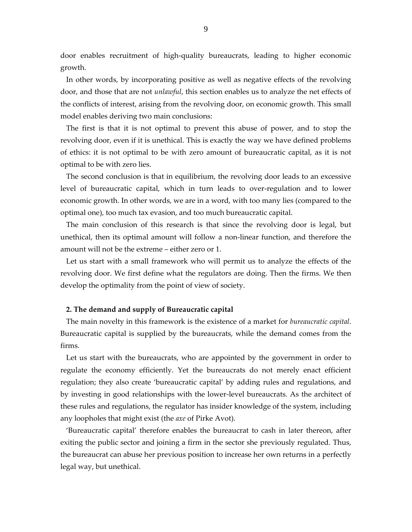door enables recruitment of high-quality bureaucrats, leading to higher economic growth.

In other words, by incorporating positive as well as negative effects of the revolving door, and those that are not *unlawful*, this section enables us to analyze the net effects of the conflicts of interest, arising from the revolving door, on economic growth. This small model enables deriving two main conclusions:

The first is that it is not optimal to prevent this abuse of power, and to stop the revolving door, even if it is unethical. This is exactly the way we have defined problems of ethics: it is not optimal to be with zero amount of bureaucratic capital, as it is not optimal to be with zero lies.

The second conclusion is that in equilibrium, the revolving door leads to an excessive level of bureaucratic capital, which in turn leads to over-regulation and to lower economic growth. In other words, we are in a word, with too many lies (compared to the optimal one), too much tax evasion, and too much bureaucratic capital.

The main conclusion of this research is that since the revolving door is legal, but unethical, then its optimal amount will follow a non-linear function, and therefore the amount will not be the extreme – either zero or 1.

Let us start with a small framework who will permit us to analyze the effects of the revolving door. We first define what the regulators are doing. Then the firms. We then develop the optimality from the point of view of society.

## **2. The demand and supply of Bureaucratic capital**

The main novelty in this framework is the existence of a market for *bureaucratic capital*. Bureaucratic capital is supplied by the bureaucrats, while the demand comes from the firms.

Let us start with the bureaucrats, who are appointed by the government in order to regulate the economy efficiently. Yet the bureaucrats do not merely enact efficient regulation; they also create 'bureaucratic capital' by adding rules and regulations, and by investing in good relationships with the lower-level bureaucrats. As the architect of these rules and regulations, the regulator has insider knowledge of the system, including any loopholes that might exist (the *axe* of Pirke Avot).

'Bureaucratic capital' therefore enables the bureaucrat to cash in later thereon, after exiting the public sector and joining a firm in the sector she previously regulated. Thus, the bureaucrat can abuse her previous position to increase her own returns in a perfectly legal way, but unethical.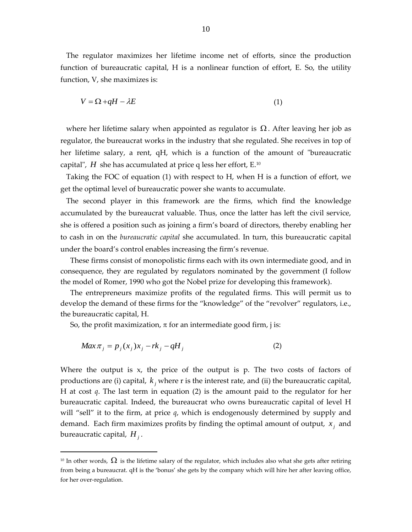The regulator maximizes her lifetime income net of efforts, since the production function of bureaucratic capital, H is a nonlinear function of effort, E. So, the utility function, V, she maximizes is:

$$
V = \Omega + qH - \lambda E \tag{1}
$$

where her lifetime salary when appointed as regulator is  $\Omega$ . After leaving her job as regulator, the bureaucrat works in the industry that she regulated. She receives in top of her lifetime salary, a rent, qH, which is a function of the amount of "bureaucratic capital",  $H$  she has accumulated at price q less her effort, E.<sup>10</sup>

Taking the FOC of equation (1) with respect to H, when H is a function of effort, we get the optimal level of bureaucratic power she wants to accumulate.

The second player in this framework are the firms, which find the knowledge accumulated by the bureaucrat valuable. Thus, once the latter has left the civil service, she is offered a position such as joining a firm's board of directors, thereby enabling her to cash in on the *bureaucratic capital* she accumulated. In turn, this bureaucratic capital under the board's control enables increasing the firm's revenue.

These firms consist of monopolistic firms each with its own intermediate good, and in consequence, they are regulated by regulators nominated by the government (I follow the model of Romer, 1990 who got the Nobel prize for developing this framework).

The entrepreneurs maximize profits of the regulated firms. This will permit us to develop the demand of these firms for the "knowledge" of the "revolver" regulators, i.e., the bureaucratic capital, H.

So, the profit maximization,  $\pi$  for an intermediate good firm, j is:

$$
Max \pi_j = p_j(x_j)x_j - rk_j - qH_j \tag{2}
$$

Where the output is x, the price of the output is p. The two costs of factors of productions are (i) capital,  $k_j$  where r is the interest rate, and (ii) the bureaucratic capital, H at cost *q*. The last term in equation (2) is the amount paid to the regulator for her bureaucratic capital. Indeed, the bureaucrat who owns bureaucratic capital of level H will "sell" it to the firm, at price *q*, which is endogenously determined by supply and demand. Each firm maximizes profits by finding the optimal amount of output,  $x_j$  and bureaucratic capital, *<sup>H</sup> <sup>j</sup>* .

<sup>&</sup>lt;sup>10</sup> In other words,  $\Omega$  is the lifetime salary of the regulator, which includes also what she gets after retiring from being a bureaucrat. qH is the 'bonus' she gets by the company which will hire her after leaving office, for her over-regulation.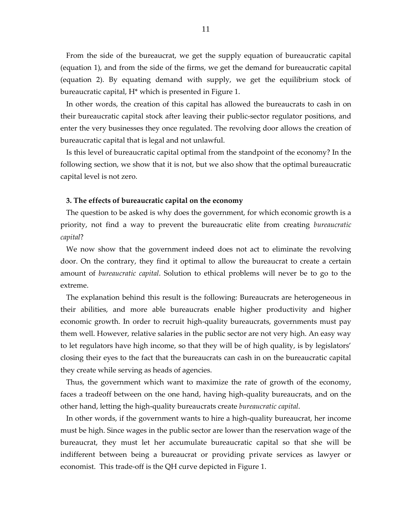From the side of the bureaucrat, we get the supply equation of bureaucratic capital (equation 1), and from the side of the firms, we get the demand for bureaucratic capital (equation 2). By equating demand with supply, we get the equilibrium stock of bureaucratic capital, H\* which is presented in Figure 1.

In other words, the creation of this capital has allowed the bureaucrats to cash in on their bureaucratic capital stock after leaving their public-sector regulator positions, and enter the very businesses they once regulated. The revolving door allows the creation of bureaucratic capital that is legal and not unlawful.

Is this level of bureaucratic capital optimal from the standpoint of the economy? In the following section, we show that it is not, but we also show that the optimal bureaucratic capital level is not zero.

#### **3. The effects of bureaucratic capital on the economy**

The question to be asked is why does the government, for which economic growth is a priority, not find a way to prevent the bureaucratic elite from creating *bureaucratic capital*?

We now show that the government indeed does not act to eliminate the revolving door. On the contrary, they find it optimal to allow the bureaucrat to create a certain amount of *bureaucratic capital*. Solution to ethical problems will never be to go to the extreme.

The explanation behind this result is the following: Bureaucrats are heterogeneous in their abilities, and more able bureaucrats enable higher productivity and higher economic growth. In order to recruit high-quality bureaucrats, governments must pay them well. However, relative salaries in the public sector are not very high. An easy way to let regulators have high income, so that they will be of high quality, is by legislators' closing their eyes to the fact that the bureaucrats can cash in on the bureaucratic capital they create while serving as heads of agencies.

Thus, the government which want to maximize the rate of growth of the economy, faces a tradeoff between on the one hand, having high-quality bureaucrats, and on the other hand, letting the high-quality bureaucrats create *bureaucratic capital*.

In other words, if the government wants to hire a high-quality bureaucrat, her income must be high. Since wages in the public sector are lower than the reservation wage of the bureaucrat, they must let her accumulate bureaucratic capital so that she will be indifferent between being a bureaucrat or providing private services as lawyer or economist. This trade-off is the QH curve depicted in Figure 1.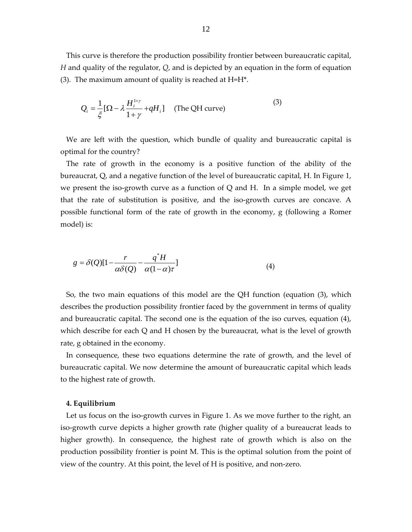This curve is therefore the production possibility frontier between bureaucratic capital, *H* and quality of the regulator, *Q*, and is depicted by an equation in the form of equation (3). The maximum amount of quality is reached at  $H=H^*$ .

$$
Q_i = \frac{1}{\xi} [\Omega - \lambda \frac{H_i^{1+\gamma}}{1+\gamma} + qH_i] \quad \text{(The QH curve)} \tag{3}
$$

We are left with the question, which bundle of quality and bureaucratic capital is optimal for the country?

The rate of growth in the economy is a positive function of the ability of the bureaucrat, Q, and a negative function of the level of bureaucratic capital, H. In Figure 1, we present the iso-growth curve as a function of Q and H. In a simple model, we get that the rate of substitution is positive, and the iso-growth curves are concave. A possible functional form of the rate of growth in the economy, g (following a Romer model) is:

$$
g = \delta(Q)[1 - \frac{r}{\alpha \delta(Q)} - \frac{q^*H}{\alpha(1-\alpha)\tau}]
$$
\n(4)

So, the two main equations of this model are the QH function (equation (3), which describes the production possibility frontier faced by the government in terms of quality and bureaucratic capital. The second one is the equation of the iso curves, equation (4), which describe for each Q and H chosen by the bureaucrat, what is the level of growth rate, g obtained in the economy.

In consequence, these two equations determine the rate of growth, and the level of bureaucratic capital. We now determine the amount of bureaucratic capital which leads to the highest rate of growth.

#### **4. Equilibrium**

Let us focus on the iso-growth curves in Figure 1. As we move further to the right, an iso-growth curve depicts a higher growth rate (higher quality of a bureaucrat leads to higher growth). In consequence, the highest rate of growth which is also on the production possibility frontier is point M. This is the optimal solution from the point of view of the country. At this point, the level of H is positive, and non-zero.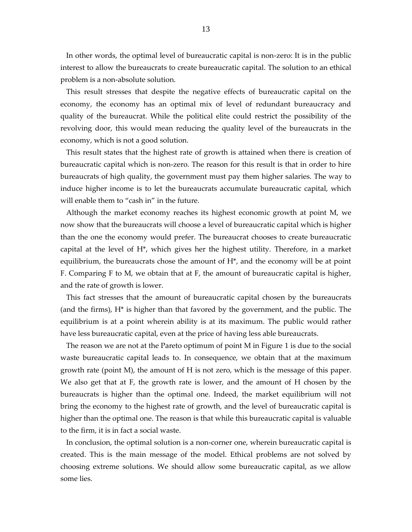In other words, the optimal level of bureaucratic capital is non-zero: It is in the public interest to allow the bureaucrats to create bureaucratic capital. The solution to an ethical problem is a non-absolute solution.

This result stresses that despite the negative effects of bureaucratic capital on the economy, the economy has an optimal mix of level of redundant bureaucracy and quality of the bureaucrat. While the political elite could restrict the possibility of the revolving door, this would mean reducing the quality level of the bureaucrats in the economy, which is not a good solution.

This result states that the highest rate of growth is attained when there is creation of bureaucratic capital which is non-zero. The reason for this result is that in order to hire bureaucrats of high quality, the government must pay them higher salaries. The way to induce higher income is to let the bureaucrats accumulate bureaucratic capital, which will enable them to "cash in" in the future.

Although the market economy reaches its highest economic growth at point M, we now show that the bureaucrats will choose a level of bureaucratic capital which is higher than the one the economy would prefer. The bureaucrat chooses to create bureaucratic capital at the level of H\*, which gives her the highest utility. Therefore, in a market equilibrium, the bureaucrats chose the amount of H\*, and the economy will be at point F. Comparing F to M, we obtain that at F, the amount of bureaucratic capital is higher, and the rate of growth is lower.

This fact stresses that the amount of bureaucratic capital chosen by the bureaucrats (and the firms), H\* is higher than that favored by the government, and the public. The equilibrium is at a point wherein ability is at its maximum. The public would rather have less bureaucratic capital, even at the price of having less able bureaucrats.

The reason we are not at the Pareto optimum of point M in Figure 1 is due to the social waste bureaucratic capital leads to. In consequence, we obtain that at the maximum growth rate (point M), the amount of H is not zero, which is the message of this paper. We also get that at F, the growth rate is lower, and the amount of H chosen by the bureaucrats is higher than the optimal one. Indeed, the market equilibrium will not bring the economy to the highest rate of growth, and the level of bureaucratic capital is higher than the optimal one. The reason is that while this bureaucratic capital is valuable to the firm, it is in fact a social waste.

In conclusion, the optimal solution is a non-corner one, wherein bureaucratic capital is created. This is the main message of the model. Ethical problems are not solved by choosing extreme solutions. We should allow some bureaucratic capital, as we allow some lies.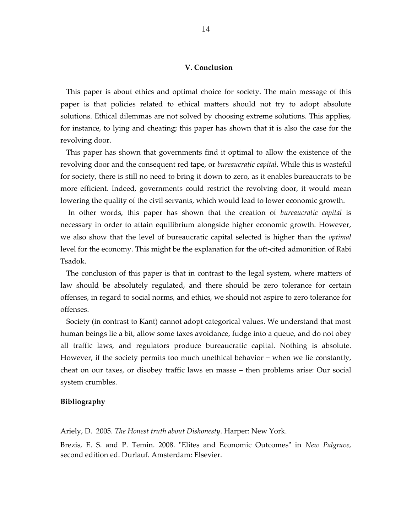## **V. Conclusion**

This paper is about ethics and optimal choice for society. The main message of this paper is that policies related to ethical matters should not try to adopt absolute solutions. Ethical dilemmas are not solved by choosing extreme solutions. This applies, for instance, to lying and cheating; this paper has shown that it is also the case for the revolving door.

This paper has shown that governments find it optimal to allow the existence of the revolving door and the consequent red tape, or *bureaucratic capital*. While this is wasteful for society, there is still no need to bring it down to zero, as it enables bureaucrats to be more efficient. Indeed, governments could restrict the revolving door, it would mean lowering the quality of the civil servants, which would lead to lower economic growth.

In other words, this paper has shown that the creation of *bureaucratic capital* is necessary in order to attain equilibrium alongside higher economic growth. However, we also show that the level of bureaucratic capital selected is higher than the *optimal* level for the economy. This might be the explanation for the oft-cited admonition of Rabi Tsadok.

The conclusion of this paper is that in contrast to the legal system, where matters of law should be absolutely regulated, and there should be zero tolerance for certain offenses, in regard to social norms, and ethics, we should not aspire to zero tolerance for offenses.

Society (in contrast to Kant) cannot adopt categorical values. We understand that most human beings lie a bit, allow some taxes avoidance, fudge into a queue, and do not obey all traffic laws, and regulators produce bureaucratic capital. Nothing is absolute. However, if the society permits too much unethical behavior – when we lie constantly, cheat on our taxes, or disobey traffic laws en masse – then problems arise: Our social system crumbles.

#### **Bibliography**

Ariely, D. 2005. *The Honest truth about Dishonesty*. Harper: New York.

Brezis, E. S. and P. Temin. 2008. "Elites and Economic Outcomes" in *New Palgrave*, second edition ed. Durlauf. Amsterdam: Elsevier.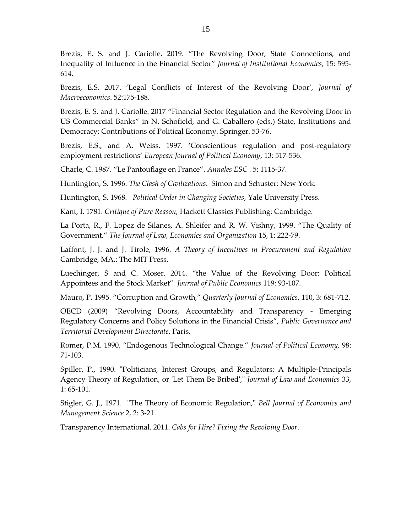Brezis, E. S. and J. Cariolle. 2019. "The Revolving Door, State Connections, and Inequality of Influence in the Financial Sector" *Journal of Institutional Economics*, 15: 595- 614.

Brezis, E.S. 2017. 'Legal Conflicts of Interest of the Revolving Door', *Journal of Macroeconomics*. 52:175-188.

Brezis, E. S. and J. Cariolle. 2017 "Financial Sector Regulation and the Revolving Door in US Commercial Banks" in N. Schofield, and G. Caballero (eds.) State, Institutions and Democracy: Contributions of Political Economy. Springer. 53-76.

Brezis, E.S., and A. Weiss. 1997. 'Conscientious regulation and post-regulatory employment restrictions' *European Journal of Political Economy*, 13: 517-536.

Charle, C. 1987. "Le Pantouflage en France". *Annales ESC* . 5: 1115-37.

Huntington, S. 1996. *The Clash of Civilizations*. Simon and Schuster: New York.

Huntington, S. 1968. *Political Order in Changing Societies*, Yale University Press.

Kant, I. 1781. *Critique of Pure Reason*, Hackett Classics Publishing: Cambridge.

La Porta, R., F. Lopez de Silanes, A. Shleifer and R. W. Vishny, 1999. "The Quality of Government," *The Journal of Law, Economics and Organization* 15, 1: 222-79.

Laffont, J. J. and J. Tirole, 1996. *A Theory of Incentives in Procurement and Regulation* Cambridge, MA.: The MIT Press.

Luechinger, S and C. Moser. 2014. "the Value of the Revolving Door: Political Appointees and the Stock Market" *Journal of Public Economics* 119: 93-107.

Mauro, P. 1995. "Corruption and Growth," *Quarterly Journal of Economics*, 110, 3: 681-712.

OECD (2009) "Revolving Doors, Accountability and Transparency - Emerging Regulatory Concerns and Policy Solutions in the Financial Crisis", *Public Governance and Territorial Development Directorate*, Paris.

Romer, P.M. 1990. "Endogenous Technological Change." *Journal of Political Economy,* 98: 71-103.

Spiller, P., 1990. "Politicians, Interest Groups, and Regulators: A Multiple-Principals Agency Theory of Regulation, or 'Let Them Be Bribed'," *Journal of Law and Economics* 33, 1: 65-101.

Stigler, G. J., 1971. "The Theory of Economic Regulation," *Bell Journal of Economics and Management Science* 2, 2: 3-21.

Transparency International. 2011. *Cabs for Hire? Fixing the Revolving Door*.